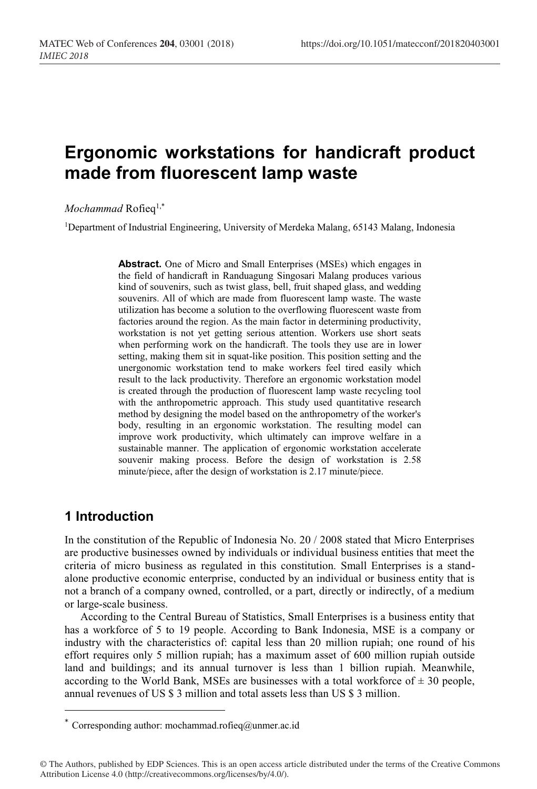# **Ergonomic workstations for handicraft product made from fluorescent lamp waste**

*Mochammad* Rofieq<sup>1,\*</sup>

1Department of Industrial Engineering, University of Merdeka Malang, 65143 Malang, Indonesia

**Abstract.** One of Micro and Small Enterprises (MSEs) which engages in the field of handicraft in Randuagung Singosari Malang produces various kind of souvenirs, such as twist glass, bell, fruit shaped glass, and wedding souvenirs. All of which are made from fluorescent lamp waste. The waste utilization has become a solution to the overflowing fluorescent waste from factories around the region. As the main factor in determining productivity, workstation is not yet getting serious attention. Workers use short seats when performing work on the handicraft. The tools they use are in lower setting, making them sit in squat-like position. This position setting and the unergonomic workstation tend to make workers feel tired easily which result to the lack productivity. Therefore an ergonomic workstation model is created through the production of fluorescent lamp waste recycling tool with the anthropometric approach. This study used quantitative research method by designing the model based on the anthropometry of the worker's body, resulting in an ergonomic workstation. The resulting model can improve work productivity, which ultimately can improve welfare in a sustainable manner. The application of ergonomic workstation accelerate souvenir making process. Before the design of workstation is 2.58 minute/piece, after the design of workstation is 2.17 minute/piece.

### **1 Introduction**

1

In the constitution of the Republic of Indonesia No. 20 / 2008 stated that Micro Enterprises are productive businesses owned by individuals or individual business entities that meet the criteria of micro business as regulated in this constitution. Small Enterprises is a standalone productive economic enterprise, conducted by an individual or business entity that is not a branch of a company owned, controlled, or a part, directly or indirectly, of a medium or large-scale business.

According to the Central Bureau of Statistics, Small Enterprises is a business entity that has a workforce of 5 to 19 people. According to Bank Indonesia, MSE is a company or industry with the characteristics of: capital less than 20 million rupiah; one round of his effort requires only 5 million rupiah; has a maximum asset of 600 million rupiah outside land and buildings; and its annual turnover is less than 1 billion rupiah. Meanwhile, according to the World Bank, MSEs are businesses with a total workforce of  $\pm$  30 people, annual revenues of US \$ 3 million and total assets less than US \$ 3 million.

<sup>\*</sup> Corresponding author: mochammad.rofieq@unmer.ac.id

<sup>©</sup> The Authors, published by EDP Sciences. This is an open access article distributed under the terms of the Creative Commons Attribution License 4.0 (http://creativecommons.org/licenses/by/4.0/).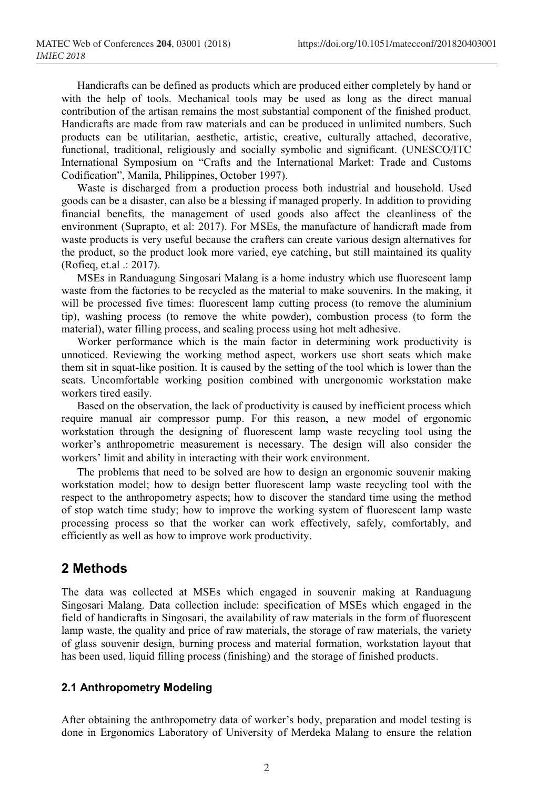Handicrafts can be defined as products which are produced either completely by hand or with the help of tools. Mechanical tools may be used as long as the direct manual contribution of the artisan remains the most substantial component of the finished product. Handicrafts are made from raw materials and can be produced in unlimited numbers. Such products can be utilitarian, aesthetic, artistic, creative, culturally attached, decorative, functional, traditional, religiously and socially symbolic and significant. (UNESCO/ITC International Symposium on "Crafts and the International Market: Trade and Customs Codification", Manila, Philippines, October 1997).

Waste is discharged from a production process both industrial and household. Used goods can be a disaster, can also be a blessing if managed properly. In addition to providing financial benefits, the management of used goods also affect the cleanliness of the environment (Suprapto, et al: 2017). For MSEs, the manufacture of handicraft made from waste products is very useful because the crafters can create various design alternatives for the product, so the product look more varied, eye catching, but still maintained its quality (Rofieq, et.al .: 2017).

MSEs in Randuagung Singosari Malang is a home industry which use fluorescent lamp waste from the factories to be recycled as the material to make souvenirs. In the making, it will be processed five times: fluorescent lamp cutting process (to remove the aluminium tip), washing process (to remove the white powder), combustion process (to form the material), water filling process, and sealing process using hot melt adhesive.

Worker performance which is the main factor in determining work productivity is unnoticed. Reviewing the working method aspect, workers use short seats which make them sit in squat-like position. It is caused by the setting of the tool which is lower than the seats. Uncomfortable working position combined with unergonomic workstation make workers tired easily.

Based on the observation, the lack of productivity is caused by inefficient process which require manual air compressor pump. For this reason, a new model of ergonomic workstation through the designing of fluorescent lamp waste recycling tool using the worker's anthropometric measurement is necessary. The design will also consider the workers' limit and ability in interacting with their work environment.

The problems that need to be solved are how to design an ergonomic souvenir making workstation model; how to design better fluorescent lamp waste recycling tool with the respect to the anthropometry aspects; how to discover the standard time using the method of stop watch time study; how to improve the working system of fluorescent lamp waste processing process so that the worker can work effectively, safely, comfortably, and efficiently as well as how to improve work productivity.

### **2 Methods**

The data was collected at MSEs which engaged in souvenir making at Randuagung Singosari Malang. Data collection include: specification of MSEs which engaged in the field of handicrafts in Singosari, the availability of raw materials in the form of fluorescent lamp waste, the quality and price of raw materials, the storage of raw materials, the variety of glass souvenir design, burning process and material formation, workstation layout that has been used, liquid filling process (finishing) and the storage of finished products.

#### **2.1 Anthropometry Modeling**

After obtaining the anthropometry data of worker's body, preparation and model testing is done in Ergonomics Laboratory of University of Merdeka Malang to ensure the relation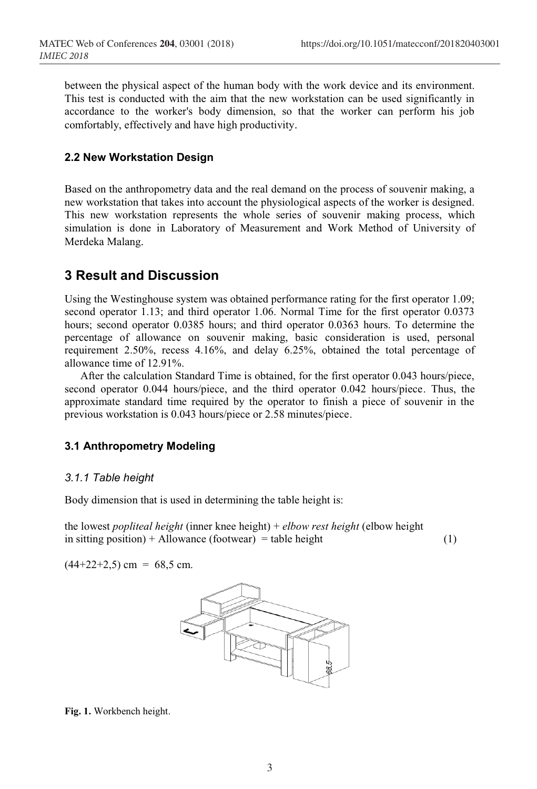between the physical aspect of the human body with the work device and its environment. This test is conducted with the aim that the new workstation can be used significantly in accordance to the worker's body dimension, so that the worker can perform his job comfortably, effectively and have high productivity.

#### **2.2 New Workstation Design**

Based on the anthropometry data and the real demand on the process of souvenir making, a new workstation that takes into account the physiological aspects of the worker is designed. This new workstation represents the whole series of souvenir making process, which simulation is done in Laboratory of Measurement and Work Method of University of Merdeka Malang.

### **3 Result and Discussion**

Using the Westinghouse system was obtained performance rating for the first operator 1.09; second operator 1.13; and third operator 1.06. Normal Time for the first operator 0.0373 hours; second operator 0.0385 hours; and third operator 0.0363 hours. To determine the percentage of allowance on souvenir making, basic consideration is used, personal requirement 2.50%, recess 4.16%, and delay 6.25%, obtained the total percentage of allowance time of 12.91%.

After the calculation Standard Time is obtained, for the first operator 0.043 hours/piece, second operator 0.044 hours/piece, and the third operator 0.042 hours/piece. Thus, the approximate standard time required by the operator to finish a piece of souvenir in the previous workstation is 0.043 hours/piece or 2.58 minutes/piece.

#### **3.1 Anthropometry Modeling**

#### *3.1.1 Table height*

Body dimension that is used in determining the table height is:

the lowest *popliteal height* (inner knee height) + *elbow rest height* (elbow height in sitting position) + Allowance (footwear) = table height  $(1)$ 

 $(44+22+2,5)$  cm = 68,5 cm.



**Fig. 1.** Workbench height.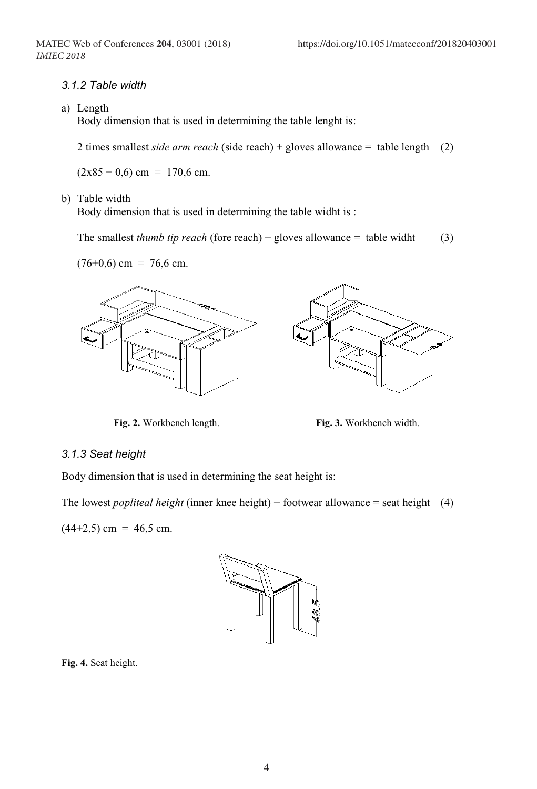#### *3.1.2 Table width*

a) Length

Body dimension that is used in determining the table lenght is:

2 times smallest *side arm reach* (side reach) + gloves allowance = table length (2)

 $(2x85 + 0, 6)$  cm = 170,6 cm.

#### b) Table width

Body dimension that is used in determining the table widht is :

The smallest *thumb tip reach* (fore reach) + gloves allowance = table widht (3)





**Fig. 2.** Workbench length. **Fig. 3.** Workbench width.

#### *3.1.3 Seat height*

Body dimension that is used in determining the seat height is:

The lowest *popliteal height* (inner knee height) + footwear allowance = seat height (4)

 $(44+2,5)$  cm = 46,5 cm.



**Fig. 4.** Seat height.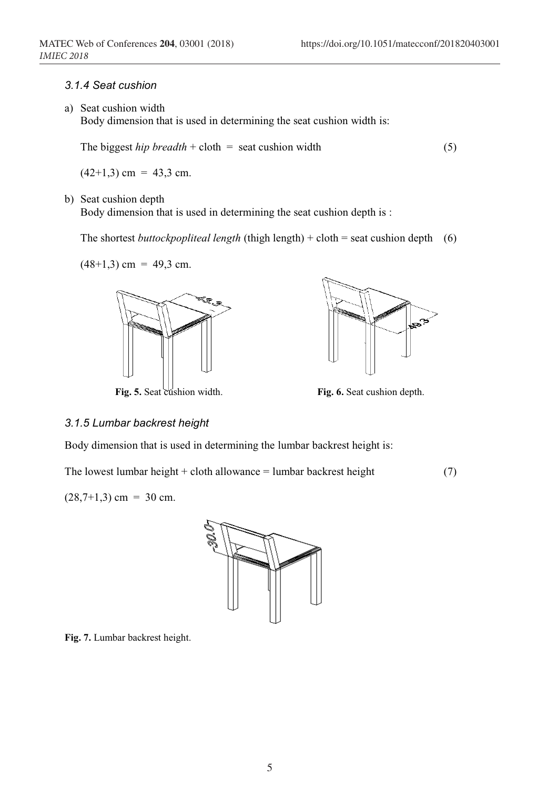#### *3.1.4 Seat cushion*

a) Seat cushion width

Body dimension that is used in determining the seat cushion width is:

The biggest *hip breadth* + cloth = seat cushion width (5)

 $(42+1,3)$  cm = 43,3 cm.

b) Seat cushion depth

Body dimension that is used in determining the seat cushion depth is :

The shortest *buttockpopliteal length* (thigh length) + cloth = seat cushion depth (6)

 $(48+1,3)$  cm = 49,3 cm.



**Fig. 5.** Seat cushion width. **Fig. 6.** Seat cushion depth.



#### *3.1.5 Lumbar backrest height*

Body dimension that is used in determining the lumbar backrest height is:

The lowest lumbar height + cloth allowance = lumbar backrest height  $(7)$ 

 $(28,7+1,3)$  cm = 30 cm.



**Fig. 7.** Lumbar backrest height.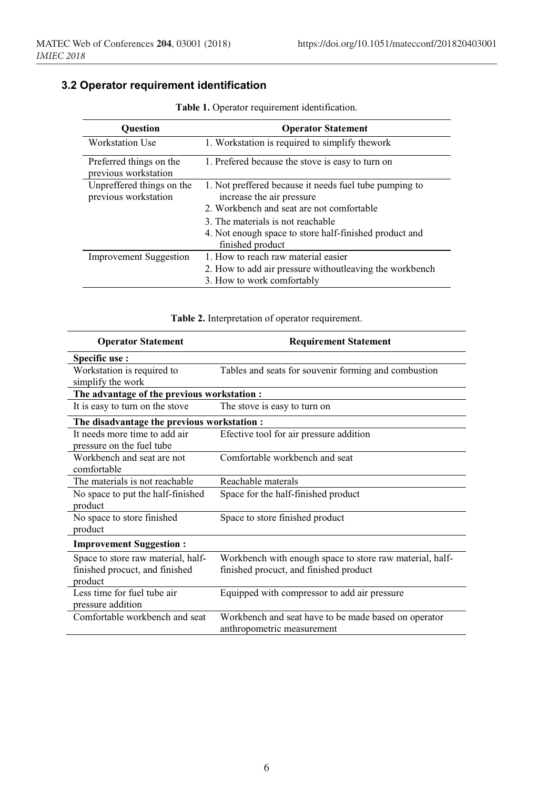### **3.2 Operator requirement identification**

| <b>Ouestion</b>                                   | <b>Operator Statement</b>                                                              |
|---------------------------------------------------|----------------------------------------------------------------------------------------|
| <b>Workstation Use</b>                            | 1. Workstation is required to simplify thework                                         |
| Preferred things on the<br>previous workstation   | 1. Prefered because the stove is easy to turn on                                       |
| Unpreffered things on the<br>previous workstation | 1. Not preffered because it needs fuel tube pumping to<br>increase the air pressure    |
|                                                   | 2. Workbench and seat are not comfortable                                              |
|                                                   | 3. The materials is not reachable                                                      |
|                                                   | 4. Not enough space to store half-finished product and<br>finished product             |
| <b>Improvement Suggestion</b>                     | 1. How to reach raw material easier                                                    |
|                                                   | 2. How to add air pressure without leaving the workbench<br>3. How to work comfortably |

**Table 1.** Operator requirement identification.

### **Table 2.** Interpretation of operator requirement.

| <b>Operator Statement</b>                                                       | <b>Requirement Statement</b>                                                                       |
|---------------------------------------------------------------------------------|----------------------------------------------------------------------------------------------------|
| Specific use:                                                                   |                                                                                                    |
| Workstation is required to<br>simplify the work                                 | Tables and seats for souvenir forming and combustion                                               |
| The advantage of the previous workstation :                                     |                                                                                                    |
| It is easy to turn on the stove                                                 | The stove is easy to turn on                                                                       |
| The disadvantage the previous workstation :                                     |                                                                                                    |
| It needs more time to add air<br>pressure on the fuel tube                      | Efective tool for air pressure addition                                                            |
| Workbench and seat are not<br>comfortable                                       | Comfortable workbench and seat                                                                     |
| The materials is not reachable                                                  | Reachable materals                                                                                 |
| No space to put the half-finished<br>product                                    | Space for the half-finished product                                                                |
| No space to store finished<br>product                                           | Space to store finished product                                                                    |
| <b>Improvement Suggestion:</b>                                                  |                                                                                                    |
| Space to store raw material, half-<br>finished procuct, and finished<br>product | Workbench with enough space to store raw material, half-<br>finished procuct, and finished product |
| Less time for fuel tube air<br>pressure addition                                | Equipped with compressor to add air pressure                                                       |
| Comfortable workbench and seat                                                  | Workbench and seat have to be made based on operator<br>anthropometric measurement                 |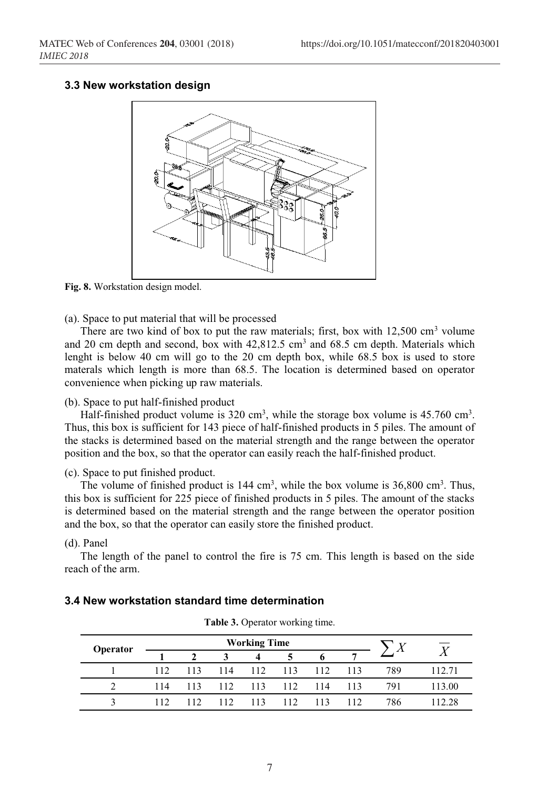#### **3.3 New workstation design**



**Fig. 8.** Workstation design model.

(a). Space to put material that will be processed

There are two kind of box to put the raw materials; first, box with  $12,500 \text{ cm}^3$  volume and 20 cm depth and second, box with  $42,812.5$  cm<sup>3</sup> and  $68.5$  cm depth. Materials which lenght is below 40 cm will go to the 20 cm depth box, while 68.5 box is used to store materals which length is more than 68.5. The location is determined based on operator convenience when picking up raw materials.

(b). Space to put half-finished product

Half-finished product volume is  $320 \text{ cm}^3$ , while the storage box volume is  $45.760 \text{ cm}^3$ . Thus, this box is sufficient for 143 piece of half-finished products in 5 piles. The amount of the stacks is determined based on the material strength and the range between the operator position and the box, so that the operator can easily reach the half-finished product.

(c). Space to put finished product.

The volume of finished product is  $144 \text{ cm}^3$ , while the box volume is  $36,800 \text{ cm}^3$ . Thus, this box is sufficient for 225 piece of finished products in 5 piles. The amount of the stacks is determined based on the material strength and the range between the operator position and the box, so that the operator can easily store the finished product.

#### (d). Panel

The length of the panel to control the fire is 75 cm. This length is based on the side reach of the arm.

|          |     |              |     |                     |     | $\overline{\phantom{0}}$ |     |     |                |
|----------|-----|--------------|-----|---------------------|-----|--------------------------|-----|-----|----------------|
| Operator |     |              |     | <b>Working Time</b> |     |                          |     |     | $\overline{Y}$ |
|          |     | $\mathbf{2}$ |     | 4                   | 5   | 6                        |     |     |                |
|          | 112 | 113          | 114 | 112                 | 113 | 112                      | 113 | 789 |                |
|          | 114 | 113          | 112 | 113                 | 112 | 114                      | 113 | 791 | 113.00         |
| ζ        | 112 | 112          | 112 | 113                 | 112 | 113                      | 112 | 786 | 12.28          |

#### **3.4 New workstation standard time determination**

**Table 3.** Operator working time.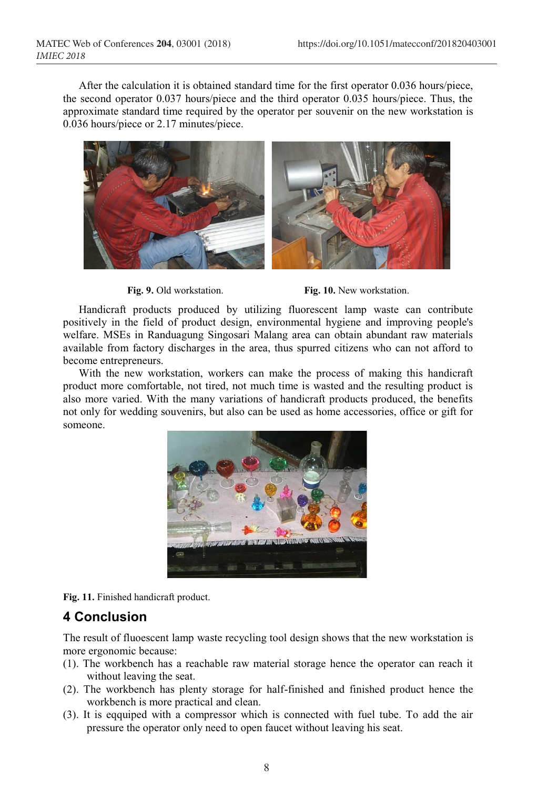After the calculation it is obtained standard time for the first operator 0.036 hours/piece, the second operator 0.037 hours/piece and the third operator 0.035 hours/piece. Thus, the approximate standard time required by the operator per souvenir on the new workstation is 0.036 hours/piece or 2.17 minutes/piece.



**Fig. 9.** Old workstation. **Fig. 10.** New workstation.

Handicraft products produced by utilizing fluorescent lamp waste can contribute positively in the field of product design, environmental hygiene and improving people's welfare. MSEs in Randuagung Singosari Malang area can obtain abundant raw materials available from factory discharges in the area, thus spurred citizens who can not afford to become entrepreneurs.

With the new workstation, workers can make the process of making this handicraft product more comfortable, not tired, not much time is wasted and the resulting product is also more varied. With the many variations of handicraft products produced, the benefits not only for wedding souvenirs, but also can be used as home accessories, office or gift for someone.



**Fig. 11.** Finished handicraft product.

# **4 Conclusion**

The result of fluoescent lamp waste recycling tool design shows that the new workstation is more ergonomic because:

- (1). The workbench has a reachable raw material storage hence the operator can reach it without leaving the seat.
- (2). The workbench has plenty storage for half-finished and finished product hence the workbench is more practical and clean.
- (3). It is eqquiped with a compressor which is connected with fuel tube. To add the air pressure the operator only need to open faucet without leaving his seat.